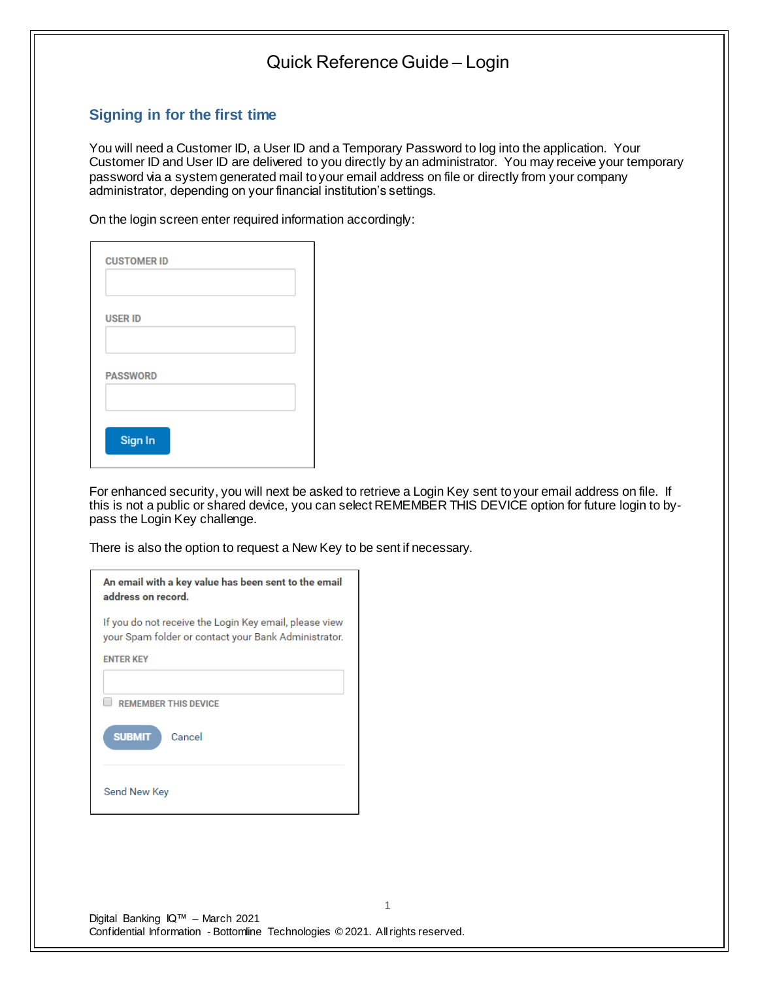### **Signing in for the first time**

You will need a Customer ID, a User ID and a Temporary Password to log into the application. Your Customer ID and User ID are delivered to you directly by an administrator. You may receive your temporary password via a system generated mail to your email address on file or directly from your company administrator, depending on your financial institution's settings.

On the login screen enter required information accordingly:

| <b>CUSTOMER ID</b> |  |
|--------------------|--|
|                    |  |
| <b>USER ID</b>     |  |
|                    |  |
| <b>PASSWORD</b>    |  |
|                    |  |
| Sign In            |  |

For enhanced security, you will next be asked to retrieve a Login Key sent to your email address on file. If this is not a public or shared device, you can select REMEMBER THIS DEVICE option for future login to bypass the Login Key challenge.

1

There is also the option to request a New Key to be sent if necessary.

| If you do not receive the Login Key email, please view<br>your Spam folder or contact your Bank Administrator. |  |
|----------------------------------------------------------------------------------------------------------------|--|
| <b>ENTER KEY</b>                                                                                               |  |
| <b>REMEMBER THIS DEVICE</b>                                                                                    |  |
| <b>SUBMIT</b><br>Cancel                                                                                        |  |
| Send New Key                                                                                                   |  |

Digital Banking IQ™ – March 2021 Confidential Information - Bottomline Technologies © 2021. Allrights reserved.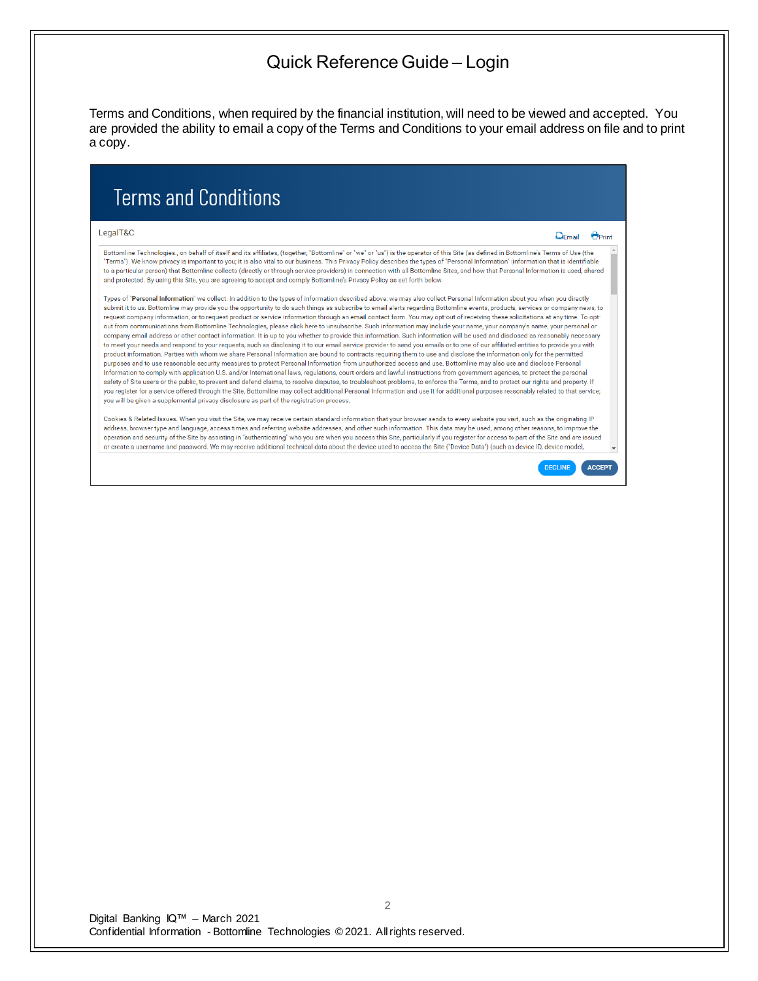Terms and Conditions, when required by the financial institution, will need to be viewed and accepted. You are provided the ability to email a copy of the Terms and Conditions to your email address on file and to print a copy.

# **Terms and Conditions**

#### LegalT&C

 $Q$ Fmail  $P_{\text{Print}}$ 

Bottomline Technologies., on behalf of itself and its affiliates, (together, "Bottomline" or "we" or "us") is the operator of this Site (as defined in Bottomline's Terms of Use (the "Terms"). We know privacy is important to you; it is also vital to our business. This Privacy Policy describes the types of "Personal Information" (information that is identifiable to a particular person) that Bottomline collects (directly or through service providers) in connection with all Bottomline Sites, and how that Personal Information is used, shared and protected. By using this Site, you are agreeing to accept and comply Bottomline's Privacy Policy as set forth below.

Types of "Personal Information" we collect. In addition to the types of information described above, we may also collect Personal Information about you when you directly submit it to us. Bottomline may provide you the opportunity to do such things as subscribe to email alerts regarding Bottomline events, products, services or company news, to request company information, or to request product or service information through an email contact form. You may opt-out of receiving these solicitations at any time. To optout from communications from Bottomline Technologies, please click here to unsubscribe. Such information may include your name, your company's name, your personal or company email address or other contact information. It is up to you whether to provide this information. Such information will be used and disclosed as reasonably necessary to meet your needs and respond to your requests, such as disclosing it to our email service provider to send you emails or to one of our affiliated entities to provide you with product information. Parties with whom we share Personal Information are bound to contracts requiring them to use and disclose the information only for the permitted purposes and to use reasonable security measures to protect Personal Information from unauthorized access and use. Bottomline may also use and disclose Personal Information to comply with application U.S. and/or International laws, regulations, court orders and lawful instructions from government agencies, to protect the personal safety of Site users or the public, to prevent and defend claims, to resolve disputes, to troubleshoot problems, to enforce the Terms, and to protect our rights and property. If you register for a service offered through the Site, Bottomline may collect additional Personal Information and use it for additional purposes reasonably related to that service; you will be given a supplemental privacy disclosure as part of the registration process.

Cookies & Related Issues. When you visit the Site, we may receive certain standard information that your browser sends to every website you visit, such as the originating IP address, browser type and language, access times and referring website addresses, and other such information. This data may be used, among other reasons, to improve the operation and security of the Site by assisting in "authenticating" who you are when you access this Site, particularly if you register for access to part of the Site and are issued or create a username and password. We may receive additional technical data about the device used to access the Site ("Device Data") (such as device ID, device model,

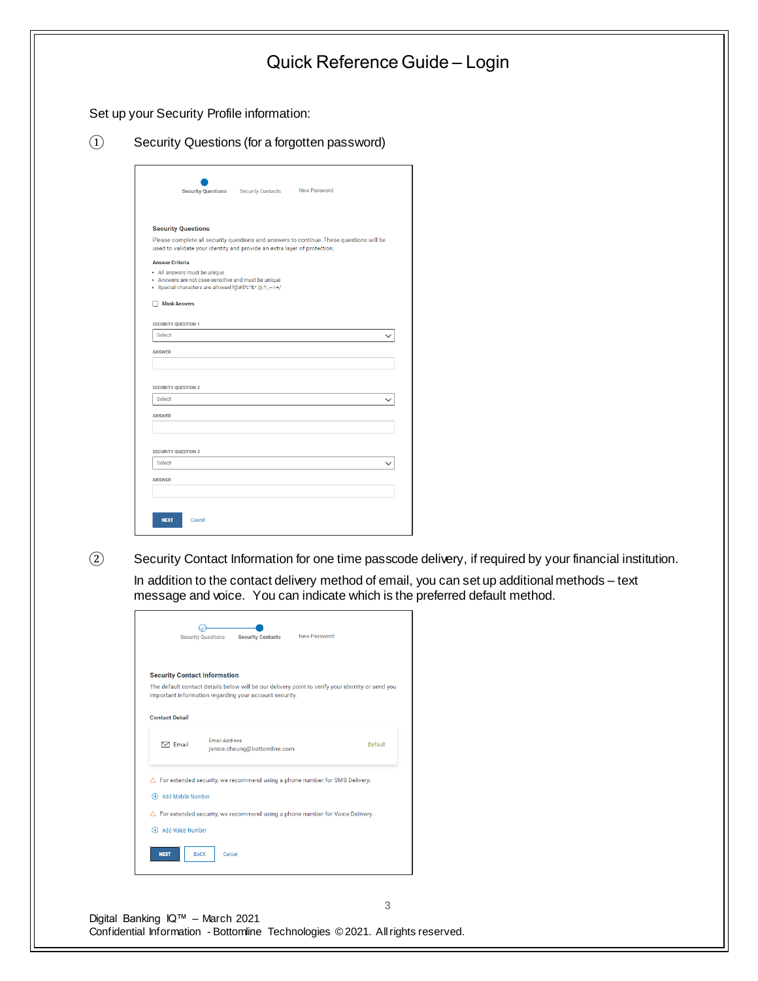|                                                             | Set up your Security Profile information:                                                                                                                                                                                  |                                                                                               |
|-------------------------------------------------------------|----------------------------------------------------------------------------------------------------------------------------------------------------------------------------------------------------------------------------|-----------------------------------------------------------------------------------------------|
| $\bigcirc$<br>Security Questions (for a forgotten password) |                                                                                                                                                                                                                            |                                                                                               |
|                                                             | New Password<br><b>Security Questions</b><br>Security Contacts                                                                                                                                                             |                                                                                               |
|                                                             | <b>Security Questions</b><br>Please complete all security questions and answers to continue. These questions will be<br>used to validate your identity and provide an extra layer of protection.<br><b>Answer Criteria</b> |                                                                                               |
|                                                             | • All answers must be unique<br>. Answers are not case-sensitive and must be unique<br>· Special characters are allowed !@#\$%^&*.()-?;;,~=+/                                                                              |                                                                                               |
|                                                             | Mask Answers<br><b>SECURITY QUESTION 1</b>                                                                                                                                                                                 |                                                                                               |
|                                                             | Select<br>$\checkmark$<br><b>ANSWER</b>                                                                                                                                                                                    |                                                                                               |
|                                                             | <b>SECURITY QUESTION 2</b>                                                                                                                                                                                                 |                                                                                               |
|                                                             | Select<br>$\checkmark$<br><b>ANSWER</b>                                                                                                                                                                                    |                                                                                               |
|                                                             | <b>SECURITY QUESTION 3</b><br>Select<br>$\checkmark$                                                                                                                                                                       |                                                                                               |
|                                                             | <b>ANSWER</b>                                                                                                                                                                                                              |                                                                                               |
|                                                             | <b>NEXT</b><br>Cancel                                                                                                                                                                                                      |                                                                                               |
| $\circled{2}$                                               | Security Contact Information for one time passcode delivery, if required by your financial institution.                                                                                                                    |                                                                                               |
|                                                             |                                                                                                                                                                                                                            | In addition to the contact delivery method of email, you can set up additional methods - text |
|                                                             |                                                                                                                                                                                                                            |                                                                                               |
|                                                             | message and voice. You can indicate which is the preferred default method.<br>◎                                                                                                                                            |                                                                                               |
|                                                             | New Password<br>Security Questions<br><b>Security Contacts</b>                                                                                                                                                             |                                                                                               |
|                                                             | <b>Security Contact Information</b><br>The default contact details below will be our delivery point to verify your identity or send you<br>important information regarding your account security.                          |                                                                                               |
|                                                             | <b>Contact Detail</b>                                                                                                                                                                                                      |                                                                                               |
|                                                             | <b>Email Address</b><br><b>Default</b><br>$\boxdot$ Email<br>janice.cheung@bottomline.com                                                                                                                                  |                                                                                               |
|                                                             | $\triangle$ For extended security, we recommend using a phone number for SMS Delivery.<br>+ Add Mobile Number                                                                                                              |                                                                                               |

3

Digital Banking IQ™ – March 2021 Confidential Information - Bottomline Technologies © 2021. Allrights reserved.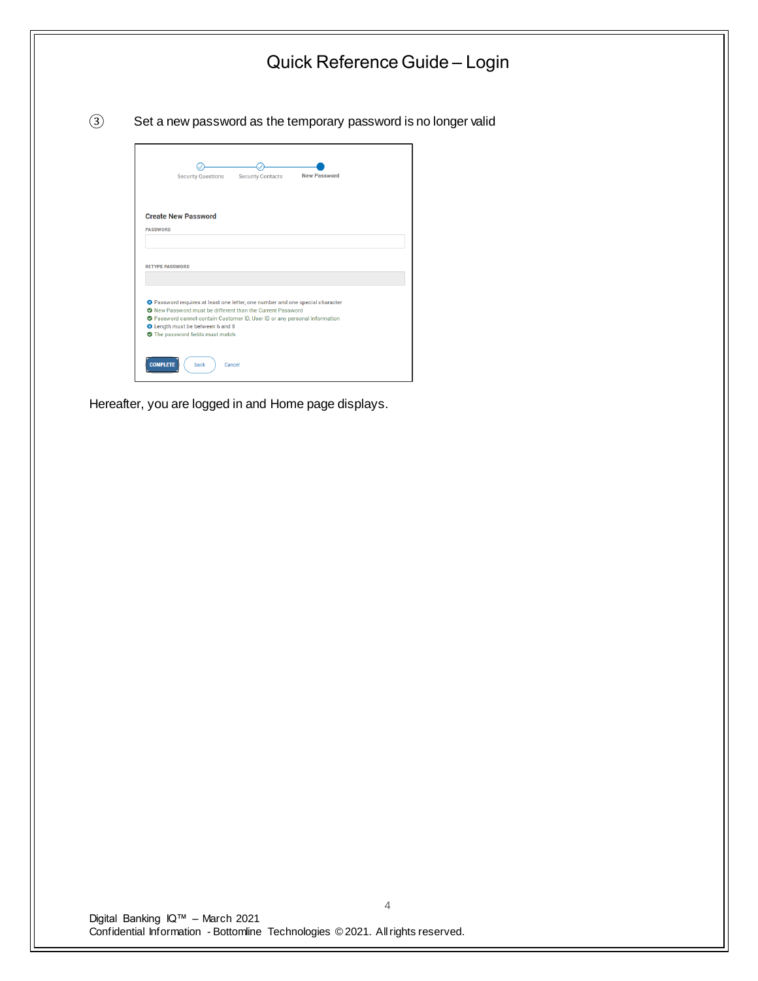

Hereafter, you are logged in and Home page displays.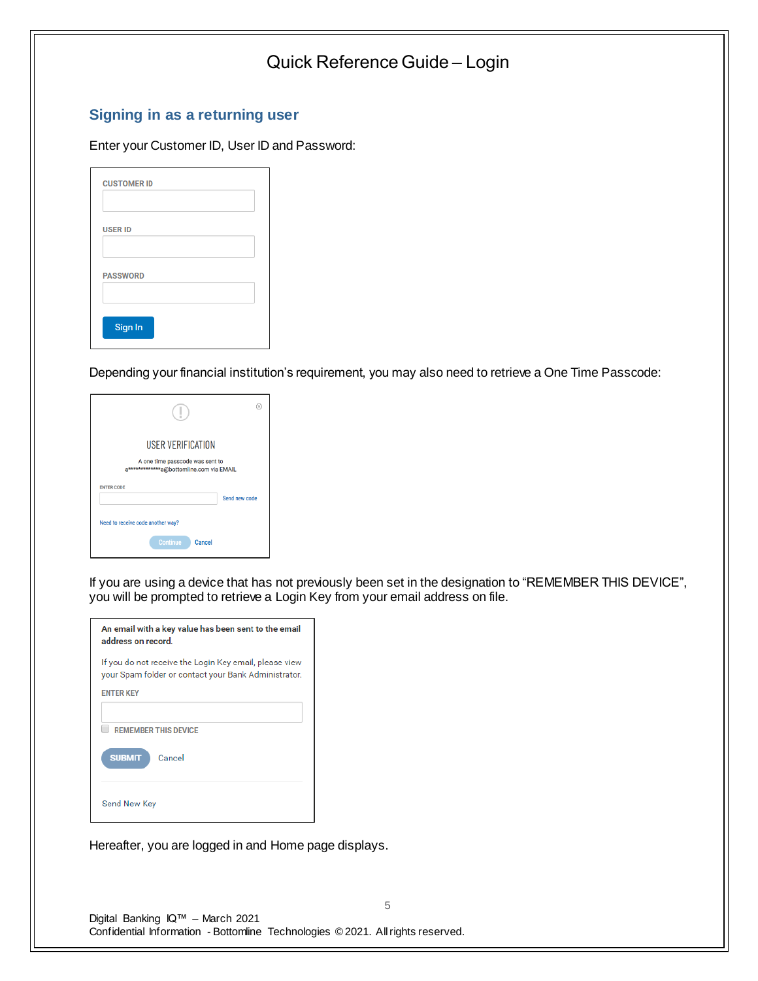### **Signing in as a returning user**

#### Enter your Customer ID, User ID and Password:

| <b>CUSTOMER ID</b> |  |
|--------------------|--|
|                    |  |
| <b>USER ID</b>     |  |
|                    |  |
| <b>PASSWORD</b>    |  |
|                    |  |
| Sign In            |  |
|                    |  |

Depending your financial institution's requirement, you may also need to retrieve a One Time Passcode:

|                                                                            | Œ,            |  |
|----------------------------------------------------------------------------|---------------|--|
| <b>USER VERIFICATION</b>                                                   |               |  |
| A one time passcode was sent to<br>a************a@bottomline.com via EMAIL |               |  |
| <b>ENTER CODE</b>                                                          | Send new code |  |
| Need to receive code another way?                                          |               |  |
| <b>Continue</b><br>Cancel                                                  |               |  |

If you are using a device that has not previously been set in the designation to "REMEMBER THIS DEVICE", you will be prompted to retrieve a Login Key from your email address on file.

| An email with a key value has been sent to the email<br>address on record.                                     |  |
|----------------------------------------------------------------------------------------------------------------|--|
| If you do not receive the Login Key email, please view<br>your Spam folder or contact your Bank Administrator. |  |
| <b>ENTER KEY</b>                                                                                               |  |
|                                                                                                                |  |
| <b>REMEMBER THIS DEVICE</b>                                                                                    |  |
| <b>SUBMIT</b><br>Cancel                                                                                        |  |
| Send New Key                                                                                                   |  |

Hereafter, you are logged in and Home page displays.